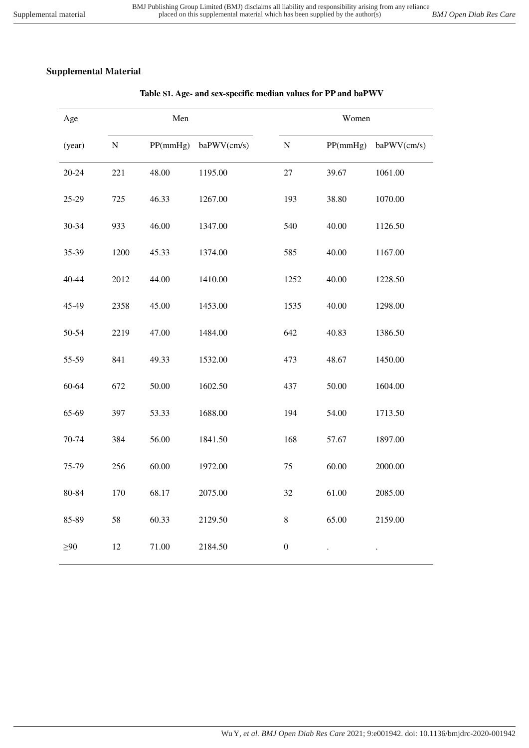| Age       | Men       |          |             | Women            |          |             |
|-----------|-----------|----------|-------------|------------------|----------|-------------|
| (year)    | ${\bf N}$ | PP(mmHg) | baPWV(cm/s) | ${\bf N}$        | PP(mmHg) | baPWV(cm/s) |
| $20 - 24$ | 221       | 48.00    | 1195.00     | 27               | 39.67    | 1061.00     |
| $25 - 29$ | 725       | 46.33    | 1267.00     | 193              | 38.80    | 1070.00     |
| 30-34     | 933       | 46.00    | 1347.00     | 540              | 40.00    | 1126.50     |
| 35-39     | 1200      | 45.33    | 1374.00     | 585              | 40.00    | 1167.00     |
| 40-44     | 2012      | 44.00    | 1410.00     | 1252             | 40.00    | 1228.50     |
| 45-49     | 2358      | 45.00    | 1453.00     | 1535             | 40.00    | 1298.00     |
| 50-54     | 2219      | 47.00    | 1484.00     | 642              | 40.83    | 1386.50     |
| 55-59     | 841       | 49.33    | 1532.00     | 473              | 48.67    | 1450.00     |
| 60-64     | 672       | 50.00    | 1602.50     | 437              | 50.00    | 1604.00     |
| 65-69     | 397       | 53.33    | 1688.00     | 194              | 54.00    | 1713.50     |
| 70-74     | 384       | 56.00    | 1841.50     | 168              | 57.67    | 1897.00     |
| 75-79     | 256       | 60.00    | 1972.00     | $75\,$           | 60.00    | 2000.00     |
| 80-84     | 170       | 68.17    | 2075.00     | 32               | 61.00    | 2085.00     |
| 85-89     | 58        | 60.33    | 2129.50     | $\,8\,$          | 65.00    | 2159.00     |
| $\geq 90$ | 12        | 71.00    | 2184.50     | $\boldsymbol{0}$ |          |             |

# **Table S1. Age- and sex-specific median values for PP and baPWV**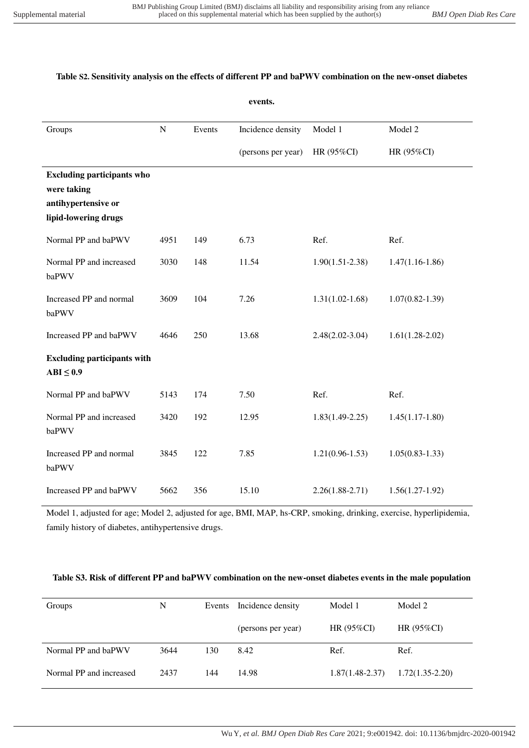## **Table S2. Sensitivity analysis on the effects of different PP and baPWV combination on the new-onset diabetes**

|                                                                                                 |             |        | events.            |                     |                     |
|-------------------------------------------------------------------------------------------------|-------------|--------|--------------------|---------------------|---------------------|
| Groups                                                                                          | $\mathbf N$ | Events | Incidence density  | Model 1             | Model 2             |
|                                                                                                 |             |        | (persons per year) | HR (95%CI)          | HR (95%CI)          |
| <b>Excluding participants who</b><br>were taking<br>antihypertensive or<br>lipid-lowering drugs |             |        |                    |                     |                     |
| Normal PP and baPWV                                                                             | 4951        | 149    | 6.73               | Ref.                | Ref.                |
| Normal PP and increased<br>baPWV                                                                | 3030        | 148    | 11.54              | $1.90(1.51 - 2.38)$ | $1.47(1.16-1.86)$   |
| Increased PP and normal<br>baPWV                                                                | 3609        | 104    | 7.26               | $1.31(1.02 - 1.68)$ | $1.07(0.82 - 1.39)$ |
| Increased PP and baPWV                                                                          | 4646        | 250    | 13.68              | $2.48(2.02 - 3.04)$ | $1.61(1.28-2.02)$   |
| <b>Excluding participants with</b><br>$ABI \leq 0.9$                                            |             |        |                    |                     |                     |
| Normal PP and baPWV                                                                             | 5143        | 174    | 7.50               | Ref.                | Ref.                |
| Normal PP and increased<br>baPWV                                                                | 3420        | 192    | 12.95              | $1.83(1.49-2.25)$   | $1.45(1.17-1.80)$   |
| Increased PP and normal<br>baPWV                                                                | 3845        | 122    | 7.85               | $1.21(0.96-1.53)$   | $1.05(0.83 - 1.33)$ |
| Increased PP and baPWV                                                                          | 5662        | 356    | 15.10              | $2.26(1.88-2.71)$   | $1.56(1.27-1.92)$   |

Model 1, adjusted for age; Model 2, adjusted for age, BMI, MAP, hs-CRP, smoking, drinking, exercise, hyperlipidemia, family history of diabetes, antihypertensive drugs.

### **Table S3. Risk of different PP and baPWV combination on the new-onset diabetes events in the male population**

| Groups                  | N    |     | Events Incidence density | Model 1           | Model 2           |
|-------------------------|------|-----|--------------------------|-------------------|-------------------|
|                         |      |     | (persons per year)       | HR $(95\%CI)$     | HR $(95\%CI)$     |
| Normal PP and baPWV     | 3644 | 130 | 8.42                     | Ref.              | Ref.              |
| Normal PP and increased | 2437 | 144 | 14.98                    | $1.87(1.48-2.37)$ | $1.72(1.35-2.20)$ |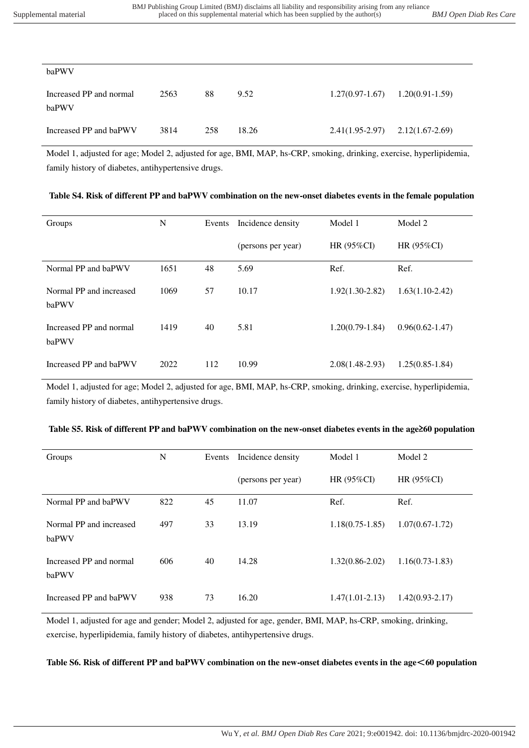| baPWV                            |      |     |       |                   |                   |
|----------------------------------|------|-----|-------|-------------------|-------------------|
| Increased PP and normal<br>baPWV | 2563 | 88  | 9.52  | $1.27(0.97-1.67)$ | $1.20(0.91-1.59)$ |
| Increased PP and baPWV           | 3814 | 258 | 18.26 | $2.41(1.95-2.97)$ | $2.12(1.67-2.69)$ |

Model 1, adjusted for age; Model 2, adjusted for age, BMI, MAP, hs-CRP, smoking, drinking, exercise, hyperlipidemia, family history of diabetes, antihypertensive drugs.

| Table S4. Risk of different PP and baPWV combination on the new-onset diabetes events in the female population |  |  |
|----------------------------------------------------------------------------------------------------------------|--|--|
|                                                                                                                |  |  |

| Groups                           | N    | Events | Incidence density  | Model 1           | Model 2             |
|----------------------------------|------|--------|--------------------|-------------------|---------------------|
|                                  |      |        | (persons per year) | HR $(95\%CI)$     | HR $(95\%CI)$       |
| Normal PP and baPWV              | 1651 | 48     | 5.69               | Ref.              | Ref.                |
| Normal PP and increased<br>baPWV | 1069 | 57     | 10.17              | $1.92(1.30-2.82)$ | $1.63(1.10-2.42)$   |
| Increased PP and normal<br>baPWV | 1419 | 40     | 5.81               | $1.20(0.79-1.84)$ | $0.96(0.62 - 1.47)$ |
| Increased PP and baPWV           | 2022 | 112    | 10.99              | $2.08(1.48-2.93)$ | $1.25(0.85-1.84)$   |

Model 1, adjusted for age; Model 2, adjusted for age, BMI, MAP, hs-CRP, smoking, drinking, exercise, hyperlipidemia, family history of diabetes, antihypertensive drugs.

| Table S5. Risk of different PP and baPWV combination on the new-onset diabetes events in the age 260 population |  |  |  |
|-----------------------------------------------------------------------------------------------------------------|--|--|--|
|                                                                                                                 |  |  |  |

| Groups                           | N   | Events | Incidence density  | Model 1             | Model 2             |
|----------------------------------|-----|--------|--------------------|---------------------|---------------------|
|                                  |     |        | (persons per year) | HR (95%CI)          | HR (95%CI)          |
| Normal PP and baPWV              | 822 | 45     | 11.07              | Ref.                | Ref.                |
| Normal PP and increased<br>baPWV | 497 | 33     | 13.19              | $1.18(0.75-1.85)$   | $1.07(0.67-1.72)$   |
| Increased PP and normal<br>baPWV | 606 | 40     | 14.28              | $1.32(0.86-2.02)$   | $1.16(0.73-1.83)$   |
| Increased PP and baPWV           | 938 | 73     | 16.20              | $1.47(1.01 - 2.13)$ | $1.42(0.93 - 2.17)$ |

Model 1, adjusted for age and gender; Model 2, adjusted for age, gender, BMI, MAP, hs-CRP, smoking, drinking, exercise, hyperlipidemia, family history of diabetes, antihypertensive drugs.

**Table S6. Risk of different PP and baPWV combination on the new-onset diabetes events in the age**<**60 population**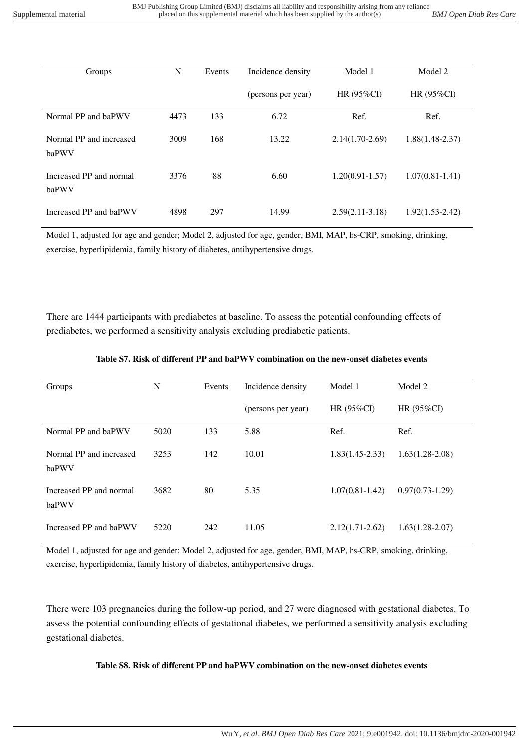| Groups                           | N    | Events | Incidence density  | Model 1             | Model 2             |
|----------------------------------|------|--------|--------------------|---------------------|---------------------|
|                                  |      |        | (persons per year) | HR $(95\%CI)$       | HR (95%CI)          |
| Normal PP and baPWV              | 4473 | 133    | 6.72               | Ref.                | Ref.                |
| Normal PP and increased<br>baPWV | 3009 | 168    | 13.22              | $2.14(1.70-2.69)$   | $1.88(1.48-2.37)$   |
| Increased PP and normal<br>baPWV | 3376 | 88     | 6.60               | $1.20(0.91 - 1.57)$ | $1.07(0.81 - 1.41)$ |
| Increased PP and baPWV           | 4898 | 297    | 14.99              | $2.59(2.11-3.18)$   | $1.92(1.53 - 2.42)$ |

Model 1, adjusted for age and gender; Model 2, adjusted for age, gender, BMI, MAP, hs-CRP, smoking, drinking, exercise, hyperlipidemia, family history of diabetes, antihypertensive drugs.

There are 1444 participants with prediabetes at baseline. To assess the potential confounding effects of prediabetes, we performed a sensitivity analysis excluding prediabetic patients.

| Groups                           | N    | Events | Incidence density  | Model 1             | Model 2           |
|----------------------------------|------|--------|--------------------|---------------------|-------------------|
|                                  |      |        | (persons per year) | HR (95%CI)          | HR $(95\%CI)$     |
| Normal PP and baPWV              | 5020 | 133    | 5.88               | Ref.                | Ref.              |
| Normal PP and increased<br>baPWV | 3253 | 142    | 10.01              | $1.83(1.45-2.33)$   | $1.63(1.28-2.08)$ |
| Increased PP and normal<br>baPWV | 3682 | 80     | 5.35               | $1.07(0.81 - 1.42)$ | $0.97(0.73-1.29)$ |
| Increased PP and baPWV           | 5220 | 242    | 11.05              | $2.12(1.71 - 2.62)$ | $1.63(1.28-2.07)$ |

#### **Table S7. Risk of different PP and baPWV combination on the new-onset diabetes events**

Model 1, adjusted for age and gender; Model 2, adjusted for age, gender, BMI, MAP, hs-CRP, smoking, drinking, exercise, hyperlipidemia, family history of diabetes, antihypertensive drugs.

There were 103 pregnancies during the follow-up period, and 27 were diagnosed with gestational diabetes. To assess the potential confounding effects of gestational diabetes, we performed a sensitivity analysis excluding gestational diabetes.

### **Table S8. Risk of different PP and baPWV combination on the new-onset diabetes events**